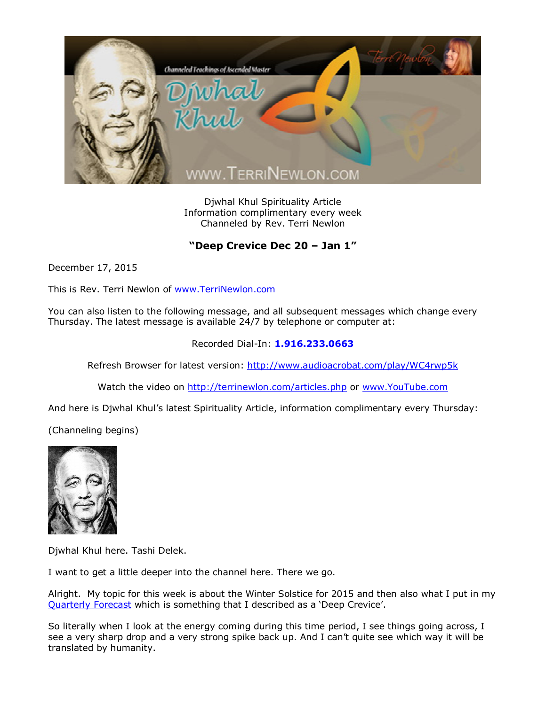

Djwhal Khul Spirituality Article Information complimentary every week Channeled by Rev. Terri Newlon

## **"Deep Crevice Dec 20 – Jan 1"**

December 17, 2015

This is Rev. Terri Newlon of [www.TerriNewlon.com](http://www.terrinewlon.com/)

You can also listen to the following message, and all subsequent messages which change every Thursday. The latest message is available 24/7 by telephone or computer at:

## Recorded Dial-In: **1.916.233.0663**

Refresh Browser for latest version: <http://www.audioacrobat.com/play/WC4rwp5k>

Watch the video on <http://terrinewlon.com/articles.php> or [www.YouTube.com](http://www.youtube.com/)

And here is Djwhal Khul's latest Spirituality Article, information complimentary every Thursday:

(Channeling begins)



Djwhal Khul here. Tashi Delek.

I want to get a little deeper into the channel here. There we go.

Alright. My topic for this week is about the Winter Solstice for 2015 and then also what I put in my [Quarterly Forecast](http://www.terrinewlon.com/audio_downloads.php) which is something that I described as a 'Deep Crevice'.

So literally when I look at the energy coming during this time period, I see things going across, I see a very sharp drop and a very strong spike back up. And I can't quite see which way it will be translated by humanity.